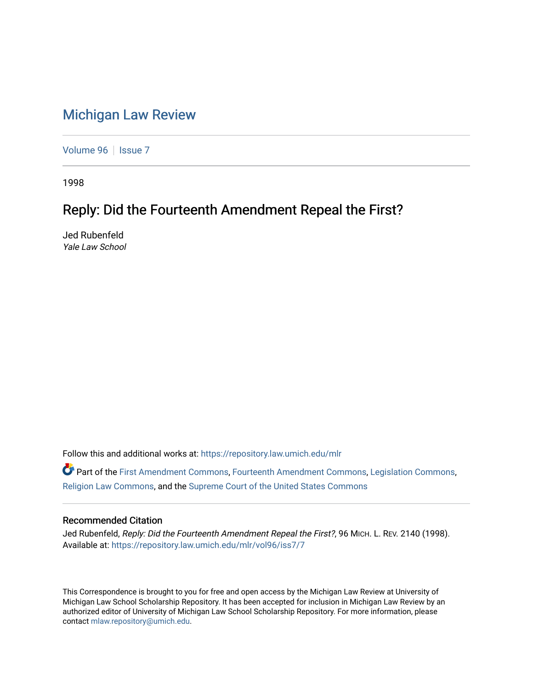## [Michigan Law Review](https://repository.law.umich.edu/mlr)

[Volume 96](https://repository.law.umich.edu/mlr/vol96) | [Issue 7](https://repository.law.umich.edu/mlr/vol96/iss7)

1998

# Reply: Did the Fourteenth Amendment Repeal the First?

Jed Rubenfeld Yale Law School

Follow this and additional works at: [https://repository.law.umich.edu/mlr](https://repository.law.umich.edu/mlr?utm_source=repository.law.umich.edu%2Fmlr%2Fvol96%2Fiss7%2F7&utm_medium=PDF&utm_campaign=PDFCoverPages) 

Part of the [First Amendment Commons,](http://network.bepress.com/hgg/discipline/1115?utm_source=repository.law.umich.edu%2Fmlr%2Fvol96%2Fiss7%2F7&utm_medium=PDF&utm_campaign=PDFCoverPages) [Fourteenth Amendment Commons](http://network.bepress.com/hgg/discipline/1116?utm_source=repository.law.umich.edu%2Fmlr%2Fvol96%2Fiss7%2F7&utm_medium=PDF&utm_campaign=PDFCoverPages), [Legislation Commons,](http://network.bepress.com/hgg/discipline/859?utm_source=repository.law.umich.edu%2Fmlr%2Fvol96%2Fiss7%2F7&utm_medium=PDF&utm_campaign=PDFCoverPages) [Religion Law Commons,](http://network.bepress.com/hgg/discipline/872?utm_source=repository.law.umich.edu%2Fmlr%2Fvol96%2Fiss7%2F7&utm_medium=PDF&utm_campaign=PDFCoverPages) and the [Supreme Court of the United States Commons](http://network.bepress.com/hgg/discipline/1350?utm_source=repository.law.umich.edu%2Fmlr%2Fvol96%2Fiss7%2F7&utm_medium=PDF&utm_campaign=PDFCoverPages) 

### Recommended Citation

Jed Rubenfeld, Reply: Did the Fourteenth Amendment Repeal the First?, 96 MICH. L. REV. 2140 (1998). Available at: [https://repository.law.umich.edu/mlr/vol96/iss7/7](https://repository.law.umich.edu/mlr/vol96/iss7/7?utm_source=repository.law.umich.edu%2Fmlr%2Fvol96%2Fiss7%2F7&utm_medium=PDF&utm_campaign=PDFCoverPages)

This Correspondence is brought to you for free and open access by the Michigan Law Review at University of Michigan Law School Scholarship Repository. It has been accepted for inclusion in Michigan Law Review by an authorized editor of University of Michigan Law School Scholarship Repository. For more information, please contact [mlaw.repository@umich.edu](mailto:mlaw.repository@umich.edu).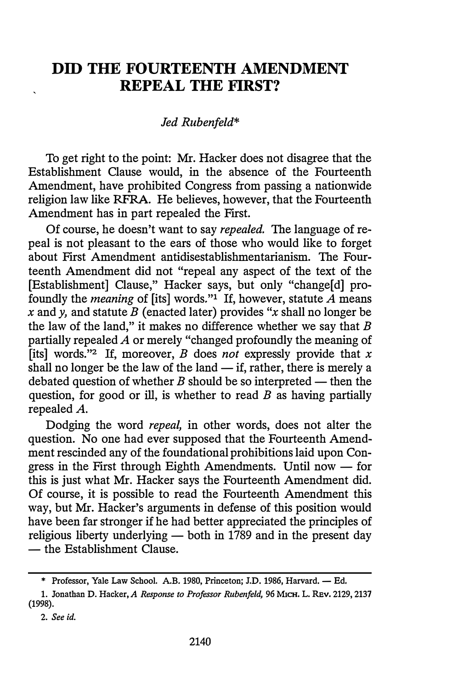### DID THE FOURTEENTH AMENDMENT REPEAL THE FIRST?

### Jed Rubenfeld\*

To get right to the point: Mr. Hacker does not disagree that the Establishment Clause would, in the absence of the Fourteenth Amendment, have prohibited Congress from passing a nationwide religion law like RFRA. He believes, however, that the Fourteenth Amendment has in part repealed the First.

Of course, he doesn't want to say repealed. The language of repeal is not pleasant to the ears of those who would like to forget about First Amendment antidisestablishmentarianism. The Fourteenth Amendment did not "repeal any aspect of the text of the [Establishment] Clause," Hacker says, but only "change[d] profoundly the *meaning* of [its] words."<sup>1</sup> If, however, statute  $\vec{A}$  means x and y, and statute B (enacted later) provides "x shall no longer be the law of the land," it makes no difference whether we say that  $B$ partially repealed A or merely "changed profoundly the meaning of [its] words."<sup>2</sup> If, moreover, B does not expressly provide that x shall no longer be the law of the land  $-$  if, rather, there is merely a debated question of whether  $B$  should be so interpreted — then the question, for good or ill, is whether to read  $B$  as having partially repealed A.

Dodging the word repeal, in other words, does not alter the question. No one had ever supposed that the Fourteenth Amendment rescinded any of the foundational prohibitions laid upon Congress in the First through Eighth Amendments. Until now  $-$  for this is just what Mr. Hacker says the Fourteenth Amendment did. Of course, it is possible to read the Fourteenth Amendment this way, but Mr. Hacker's arguments in defense of this position would have been far stronger if he had better appreciated the principles of religious liberty underlying  $-$  both in 1789 and in the present day  $-$  the Establishment Clause.

<sup>\*</sup> Professor, Yale Law School. A.B. 1980, Princeton; J.D. 1986, Harvard. - Ed.

<sup>1.</sup> Jonathan D. Hacker, A Response to Professor Rubenfeld, 96 MicH. L. Rev. 2129, 2137 (1998).

<sup>2.</sup> See id.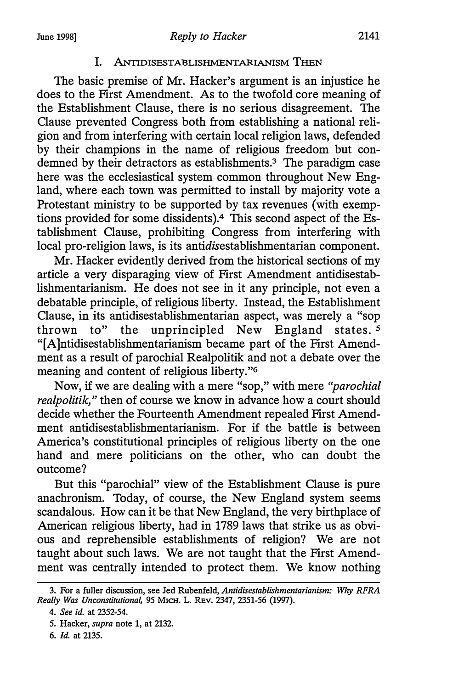### I. ANTIDISESTABLISHMENTARIANISM THEN

The basic premise of Mr. Hacker's argument is an injustice he does to the First Amendment. As to the twofold core meaning of the Establishment Clause, there is no serious disagreement. The Clause prevented Congress both from establishing a national religion and from interfering with certain local religion laws, defended by their champions in the name of religious freedom but condemned by their detractors as establishments.<sup>3</sup> The paradigm case here was the ecclesiastical system common throughout New England, where each town was permitted to install by majority vote a Protestant ministry to be supported by tax revenues (with exemptions provided for some dissidents).4 This second aspect of the Establishment Clause, prohibiting Congress from interfering with local pro-religion laws, is its antidisestablishmentarian component.

Mr. Hacker evidently derived from the historical sections of my article a very disparaging view of First Amendment antidisestablishmentarianism. He does not see in it any principle, not even a debatable principle, of religious liberty. Instead, the Establishment Clause, in its antidisestablishmentarian aspect, was merely a "sop thrown to" the unprincipled New England states.<sup>5</sup> "[A]ntidisestablishmentarianism became part of the First Amendment as a result of parochial Realpolitik and not a debate over the meaning and content of religious liberty."6

Now, if we are dealing with a mere "sop," with mere "parochial realpolitik," then of course we know in advance how a court should decide whether the Fourteenth Amendment repealed First Amendment antidisestablishmentarianism. For if the battle is between America's constitutional principles of religious liberty on the one hand and mere politicians on the other, who can doubt the outcome?

But this "parochial" view of the Establishment Clause is pure anachronism. Today, of course, the New England system seems scandalous. How can it be that New England, the very birthplace of American religious liberty, had in 1789 laws that strike us as obvious and reprehensible establishments of religion? We are not taught about such laws. We are not taught that the First Amendment was centrally intended to protect them. We know nothing

<sup>3.</sup> For a fuller discussion, see Jed Rubenfeld, Antidisestablishmentarianism: Why RFRA Really Was Unconstitutional, 95 MICH. L. REv. 2347, 2351-56 (1997).

<sup>4.</sup> See id. at 2352-54.

<sup>5.</sup> Hacker, supra note 1, at 2132.

<sup>6.</sup> Id. at 2135.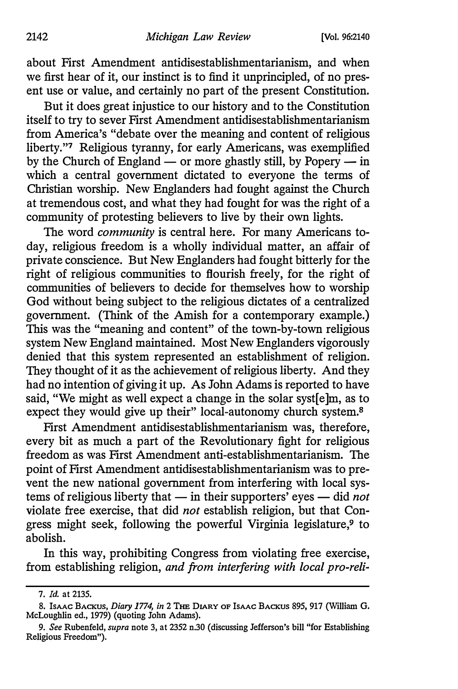about First Amendment antidisestablishmentarianism, and when we first hear of it, our instinct is to find it unprincipled, of no present use or value, and certainly no part of the present Constitution.

But it does great injustice to our history and to the Constitution itself to try to sever First Amendment antidisestablishmentarianism from America's "debate over the meaning and content of religious liberty."7 Religious tyranny, for early Americans, was exemplified by the Church of England — or more ghastly still, by Popery — in which a central government dictated to everyone the terms of Christian worship. New Englanders had fought against the Church at tremendous cost, and what they had fought for was the right of a community of protesting believers to live by their own lights.

The word community is central here. For many Americans today, religious freedom is a wholly individual matter, an affair of private conscience. But New Englanders had fought bitterly for the right of religious communities to flourish freely, for the right of communities of believers to decide for themselves how to worship God without being subject to the religious dictates of a centralized government. (Think of the Amish for a contemporary example.) This was the "meaning and content" of the town-by-town religious system New England maintained. Most New Englanders vigorously denied that this system represented an establishment of religion. They thought of it as the achievement of religious liberty. And they had no intention of giving it up. As John Adams is reported to have said, "We might as well expect a change in the solar syst[e]m, as to expect they would give up their" local-autonomy church system.<sup>8</sup>

First Amendment antidisestablishmentarianism was, therefore, every bit as much a part of the Revolutionary fight for religious freedom as was First Amendment anti-establishmentarianism. The point of First Amendment antidisestablishmentarianism was to prevent the new national government from interfering with local systems of religious liberty that  $-$  in their supporters' eyes  $-$  did not violate free exercise, that did not establish religion, but that Congress might seek, following the powerful Virginia legislature,<sup>9</sup> to abolish.

In this way, prohibiting Congress from violating free exercise, from establishing religion, and from interfering with local pro-reli-

<sup>7.</sup> Id. at 2135.

<sup>8.</sup> IsAAc BACKUS, Diary 1774, in 2 THE DIARY OF IsAAc BACKUS 895, 917 (William G. McLoughlin ed., 1979) (quoting John Adams).

<sup>9.</sup> See Rubenfeld, supra note 3, at 2352 n.30 (discussing Jefferson's bill "for Establishing Religious Freedom").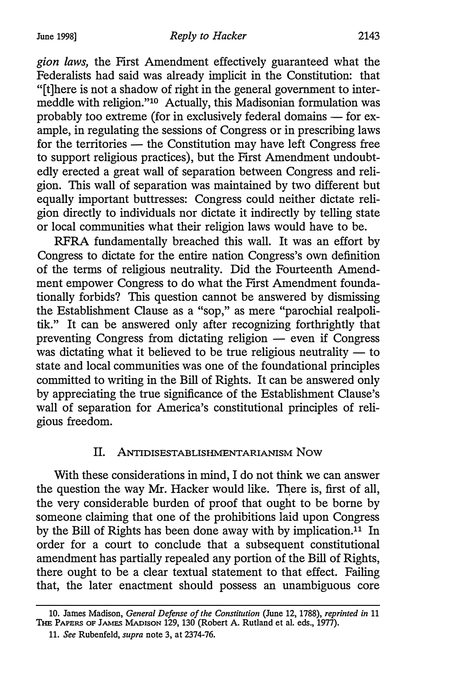gion laws, the First Amendment effectively guaranteed what the Federalists had said was already implicit in the Constitution: that "[t]here is not a shadow of right in the general government to intermeddle with religion."10 Actually, this Madisonian formulation was probably too extreme (for in exclusively federal domains  $-$  for example, in regulating the sessions of Congress or in prescribing laws for the territories — the Constitution may have left Congress free to support religious practices), but the First Amendment undoubtedly erected a great wall of separation between Congress and religion. This wall of separation was maintained by two different but equally important buttresses: Congress could neither dictate religion directly to individuals nor dictate it indirectly by telling state or local communities what their religion laws would have to be.

RFRA fundamentally breached this wall. It was an effort by Congress to dictate for the entire nation Congress's own definition of the terms of religious neutrality. Did the Fourteenth Amendment empower Congress to do what the First Amendment foundationally forbids? This question cannot be answered by dismissing the Establishment Clause as a "sop," as mere "parochial realpolitik." It can be answered only after recognizing forthrightly that preventing Congress from dictating religion — even if Congress was dictating what it believed to be true religious neutrality  $-$  to state and local communities was one of the foundational principles committed to writing in the Bill of Rights. It can be answered only by appreciating the true significance of the Establishment Clause's wall of separation for America's constitutional principles of religious freedom.

### II. ANTIDISESTABLISHMENTARIANISM Now

With these considerations in mind, I do not think we can answer the question the way Mr. Hacker would like. There is, first of all, the very considerable burden of proof that ought to be borne by someone claiming that one of the prohibitions laid upon Congress by the Bill of Rights has been done away with by implication.11 In order for a court to conclude that a subsequent constitutional amendment has partially repealed any portion of the Bill of Rights, there ought to be a clear textual statement to that effect. Failing that, the later enactment should possess an unambiguous core

<sup>10.</sup> James Madison, General Defense of the Constitution (June 12, 1788), reprinted in 11 THE PAPERS OF JAMES MADISON 129, 130 (Robert A. Rutland et al. eds., 1977).

<sup>11.</sup> See Rubenfeld, supra note 3, at 2374-76.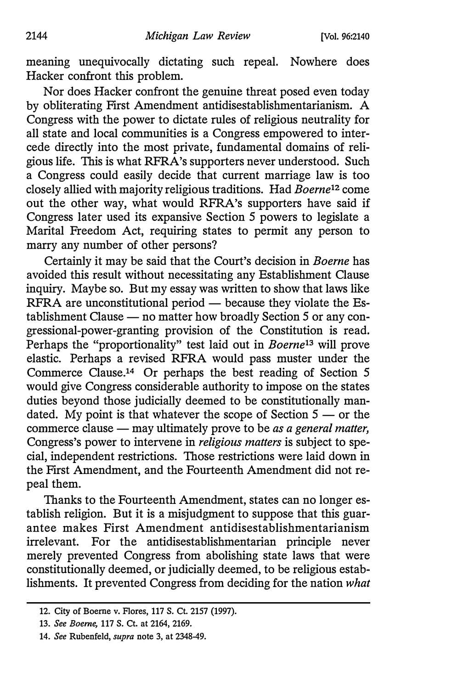meaning unequivocally dictating such repeal. Nowhere does Hacker confront this problem.

Nor does Hacker confront the genuine threat posed even today by obliterating First Amendment antidisestablishmentarianism. A Congress with the power to dictate rules of religious neutrality for all state and local communities is a Congress empowered to intercede directly into the most private, fundamental domains of religious life. This is what RFRA's supporters never understood. Such a Congress could easily decide that current marriage law is too closely allied with majority religious traditions. Had Boerne12 come out the other way, what would RFRA's supporters have said if Congress later used its expansive Section 5 powers to legislate a Marital Freedom Act, requiring states to permit any person to marry any number of other persons?

Certainly it may be said that the Court's decision in Boerne has avoided this result without necessitating any Establishment Clause inquiry. Maybe so. But my essay was written to show that laws like  $RFRA$  are unconstitutional period  $-$  because they violate the Es $tablishment$  Clause  $-$  no matter how broadly Section 5 or any congressional-power-granting provision of the Constitution is read. Perhaps the "proportionality" test laid out in Boerne<sup>13</sup> will prove elastic. Perhaps a revised RFRA would pass muster under the Commerce Clause.14 Or perhaps the best reading of Section 5 would give Congress considerable authority to impose on the states duties beyond those judicially deemed to be constitutionally mandated. My point is that whatever the scope of Section  $5$  — or the commerce clause  $-$  may ultimately prove to be *as a general matter*, Congress's power to intervene in religious matters is subject to special, independent restrictions. Those restrictions were laid down in the First Amendment, and the Fourteenth Amendment did not repeal them.

Thanks to the Fourteenth Amendment, states can no longer establish religion. But it is a misjudgment to suppose that this guarantee makes First Amendment antidisestablishmentarianism irrelevant. For the antidisestablishmentarian principle never merely prevented Congress from abolishing state laws that were constitutionally deemed, or judicially deemed, to be religious establishments. It prevented Congress from deciding for the nation what

<sup>12.</sup> City of Boerne v. Flores, 117 S. Ct. 2157 (1997).

<sup>13.</sup> See Boerne, 117 S. Ct. at 2164, 2169.

<sup>14.</sup> See Rubenfeld, supra note 3, at 2348-49.